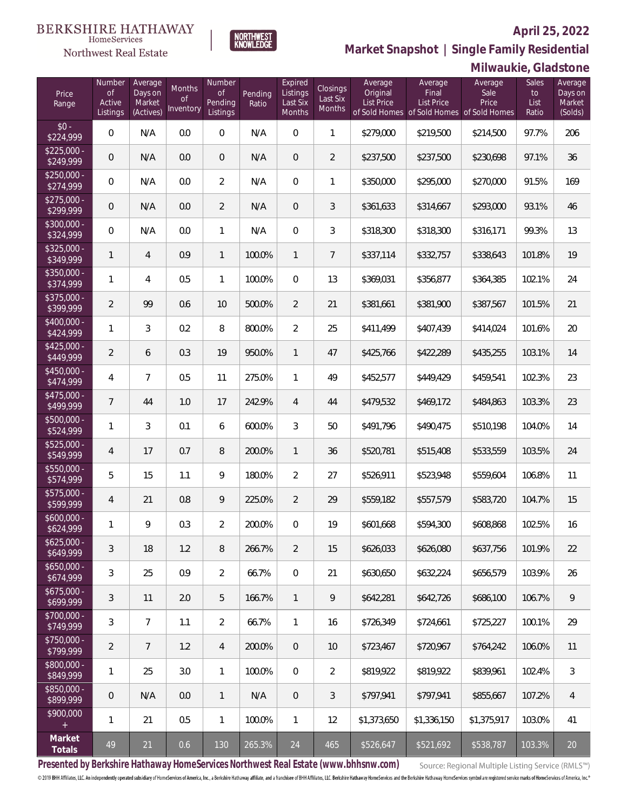#### **April 25, 2022**



**NORTHWEST**<br>KNOWLEDGE

Northwest Real Estate

**Market Snapshot | Single Family Residential**

### **Milwaukie, Gladstone**

| Price<br>Range            | Number<br><b>of</b><br>Active<br>Listings | Average<br>Days on<br>Market<br>(Actives) | Months<br>0f<br>Inventory | Number<br><b>of</b><br>Pending<br>Listings | Pending<br>Ratio | Expired<br>Listings<br>Last Six<br>Months | Closings<br>Last Six<br>Months | Average<br>Original<br><b>List Price</b> | Average<br>Final<br>List Price<br>of Sold Homes of Sold Homes of Sold Homes | Average<br>Sale<br>Price | Sales<br>to<br>List<br>Ratio | Average<br>Days on<br>Market<br>(Solds) |
|---------------------------|-------------------------------------------|-------------------------------------------|---------------------------|--------------------------------------------|------------------|-------------------------------------------|--------------------------------|------------------------------------------|-----------------------------------------------------------------------------|--------------------------|------------------------------|-----------------------------------------|
| $$0 -$<br>\$224,999       | $\overline{0}$                            | N/A                                       | 0.0                       | $\overline{0}$                             | N/A              | $\Omega$                                  | $\mathbf{1}$                   | \$279,000                                | \$219,500                                                                   | \$214,500                | 97.7%                        | 206                                     |
| $$225,000 -$<br>\$249,999 | $\overline{0}$                            | N/A                                       | 0.0                       | $\overline{0}$                             | N/A              | $\Omega$                                  | $\overline{2}$                 | \$237,500                                | \$237,500                                                                   | \$230,698                | 97.1%                        | 36                                      |
| $$250,000 -$<br>\$274,999 | $\mathbf{0}$                              | N/A                                       | 0.0                       | $\overline{2}$                             | N/A              | $\Omega$                                  | 1                              | \$350,000                                | \$295,000                                                                   | \$270,000                | 91.5%                        | 169                                     |
| $$275,000 -$<br>\$299,999 | $\overline{0}$                            | N/A                                       | 0.0                       | $\overline{2}$                             | N/A              | $\Omega$                                  | 3                              | \$361,633                                | \$314,667                                                                   | \$293,000                | 93.1%                        | 46                                      |
| $$300,000 -$<br>\$324,999 | $\overline{0}$                            | N/A                                       | 0.0                       | $\mathbf{1}$                               | N/A              | $\Omega$                                  | 3                              | \$318,300                                | \$318,300                                                                   | \$316,171                | 99.3%                        | 13                                      |
| $$325,000 -$<br>\$349,999 | $\mathbf{1}$                              | $\overline{4}$                            | 0.9                       | $\mathbf{1}$                               | 100.0%           | $\mathbf{1}$                              | $\overline{7}$                 | \$337,114                                | \$332,757                                                                   | \$338,643                | 101.8%                       | 19                                      |
| $$350,000 -$<br>\$374,999 | $\mathbf{1}$                              | 4                                         | 0.5                       | $\mathbf{1}$                               | 100.0%           | $\Omega$                                  | 13                             | \$369,031                                | \$356,877                                                                   | \$364,385                | 102.1%                       | 24                                      |
| $$375,000 -$<br>\$399,999 | $\overline{2}$                            | 99                                        | 0.6                       | 10                                         | 500.0%           | $\overline{2}$                            | 21                             | \$381,661                                | \$381,900                                                                   | \$387,567                | 101.5%                       | 21                                      |
| $$400,000 -$<br>\$424,999 | $\mathbf{1}$                              | 3                                         | 0.2                       | 8                                          | 800.0%           | $\overline{2}$                            | 25                             | \$411,499                                | \$407,439                                                                   | \$414,024                | 101.6%                       | 20                                      |
| $$425,000 -$<br>\$449,999 | $\overline{2}$                            | 6                                         | 0.3                       | 19                                         | 950.0%           | $\mathbf{1}$                              | 47                             | \$425,766                                | \$422,289                                                                   | \$435,255                | 103.1%                       | 14                                      |
| $$450,000 -$<br>\$474,999 | $\overline{4}$                            | $\overline{7}$                            | 0.5                       | 11                                         | 275.0%           | $\mathbf{1}$                              | 49                             | \$452,577                                | \$449,429                                                                   | \$459,541                | 102.3%                       | 23                                      |
| $$475,000 -$<br>\$499,999 | $\overline{7}$                            | 44                                        | 1.0                       | 17                                         | 242.9%           | $\overline{4}$                            | 44                             | \$479,532                                | \$469,172                                                                   | \$484,863                | 103.3%                       | 23                                      |
| $$500,000 -$<br>\$524,999 | $\mathbf{1}$                              | 3                                         | 0.1                       | 6                                          | 600.0%           | 3                                         | 50                             | \$491,796                                | \$490,475                                                                   | \$510,198                | 104.0%                       | 14                                      |
| $$525,000 -$<br>\$549,999 | $\overline{4}$                            | 17                                        | 0.7                       | 8                                          | 200.0%           | $\mathbf{1}$                              | 36                             | \$520,781                                | \$515,408                                                                   | \$533,559                | 103.5%                       | 24                                      |
| $$550,000 -$<br>\$574,999 | 5                                         | 15                                        | 1.1                       | 9                                          | 180.0%           | $\overline{2}$                            | 27                             | \$526,911                                | \$523,948                                                                   | \$559,604                | 106.8%                       | 11                                      |
| $$575,000 -$<br>\$599,999 | $\overline{4}$                            | 21                                        | 0.8                       | 9                                          | 225.0%           | $\overline{2}$                            | 29                             | \$559,182                                | \$557,579                                                                   | \$583,720                | 104.7%                       | 15                                      |
| $$600,000 -$<br>\$624,999 | $\mathbf{1}$                              | 9                                         | 0.3                       | $\overline{2}$                             | 200.0%           | 0                                         | 19                             | \$601,668                                | \$594,300                                                                   | \$608,868                | 102.5%                       | 16                                      |
| $$625,000 -$<br>\$649,999 | $\sqrt{3}$                                | 18                                        | 1.2                       | 8                                          | 266.7%           | $\overline{2}$                            | 15                             | \$626,033                                | \$626,080                                                                   | \$637,756                | 101.9%                       | 22                                      |
| $$650,000 -$<br>\$674,999 | $\mathfrak{Z}$                            | 25                                        | 0.9                       | $\overline{2}$                             | 66.7%            | $\boldsymbol{0}$                          | 21                             | \$630,650                                | \$632,224                                                                   | \$656,579                | 103.9%                       | 26                                      |
| $$675,000 -$<br>\$699,999 | $\mathfrak{Z}$                            | 11                                        | 2.0                       | 5                                          | 166.7%           | $\mathbf{1}$                              | 9                              | \$642,281                                | \$642,726                                                                   | \$686,100                | 106.7%                       | 9                                       |
| $$700,000 -$<br>\$749,999 | 3                                         | $\overline{7}$                            | 1.1                       | $\overline{2}$                             | 66.7%            | $\mathbf{1}$                              | 16                             | \$726,349                                | \$724,661                                                                   | \$725,227                | 100.1%                       | 29                                      |
| \$750,000 -<br>\$799,999  | $\overline{2}$                            | $\overline{7}$                            | 1.2                       | $\overline{4}$                             | 200.0%           | $\overline{0}$                            | 10                             | \$723,467                                | \$720,967                                                                   | \$764,242                | 106.0%                       | 11                                      |
| \$800,000 -<br>\$849,999  | $\mathbf{1}$                              | 25                                        | 3.0                       | $\mathbf{1}$                               | 100.0%           | $\boldsymbol{0}$                          | $\sqrt{2}$                     | \$819,922                                | \$819,922                                                                   | \$839,961                | 102.4%                       | $\sqrt{3}$                              |
| \$850,000 -<br>\$899,999  | $\mathbf 0$                               | N/A                                       | 0.0                       | $\mathbf{1}$                               | N/A              | $\overline{0}$                            | $\sqrt{3}$                     | \$797,941                                | \$797,941                                                                   | \$855,667                | 107.2%                       | $\overline{4}$                          |
| \$900,000<br>$+$          | $\mathbf{1}$                              | 21                                        | 0.5                       | $\mathbf{1}$                               | 100.0%           | $\mathbf{1}$                              | 12                             | \$1,373,650                              | \$1,336,150                                                                 | \$1,375,917              | 103.0%                       | 41                                      |
| Market<br>Totals          | 49                                        | 21                                        | 0.6                       | 130                                        | 265.3%           | 24                                        | 465                            | \$526,647                                | \$521,692                                                                   | \$538,787                | 103.3%                       | $20\,$                                  |

**Presented by Berkshire Hathaway HomeServices Northwest Real Estate (www.bhhsnw.com)**

Source: Regional Multiple Listing Service (RMLS™)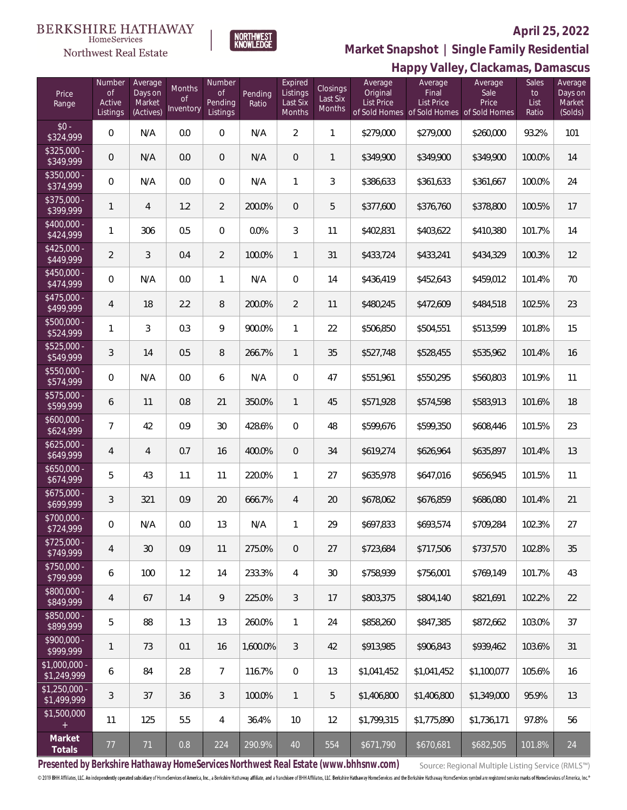# **BERKSHIRE HATHAWAY**

#### $\label{lem:sevices} \textsc{Home} \textsc{Service} \textsc{s}$ Northwest Real Estate



# **April 25, 2022 Market Snapshot | Single Family Residential**

|                               | Happy Valley, Clackamas, Damascus         |                                           |                           |                                     |                  |                                           |                                |                                   |                                                                                    |                          |                              |                                         |
|-------------------------------|-------------------------------------------|-------------------------------------------|---------------------------|-------------------------------------|------------------|-------------------------------------------|--------------------------------|-----------------------------------|------------------------------------------------------------------------------------|--------------------------|------------------------------|-----------------------------------------|
| Price<br>Range                | Number<br><b>of</b><br>Active<br>Listings | Average<br>Days on<br>Market<br>(Actives) | Months<br>Οf<br>Inventory | Number<br>Οf<br>Pending<br>Listings | Pending<br>Ratio | Expired<br>Listings<br>Last Six<br>Months | Closings<br>Last Six<br>Months | Average<br>Original<br>List Price | Average<br>Final<br><b>List Price</b><br>of Sold Homes of Sold Homes of Sold Homes | Average<br>Sale<br>Price | Sales<br>to<br>List<br>Ratio | Average<br>Days on<br>Market<br>(Solds) |
| $$0 -$<br>\$324,999           | $\mathbf 0$                               | N/A                                       | 0.0                       | $\mathbf 0$                         | N/A              | $\overline{2}$                            | $\overline{1}$                 | \$279,000                         | \$279,000                                                                          | \$260,000                | 93.2%                        | 101                                     |
| $$325,000 -$<br>\$349,999     | $\overline{0}$                            | N/A                                       | 0.0                       | $\overline{0}$                      | N/A              | $\mathbf 0$                               | $\mathbf{1}$                   | \$349,900                         | \$349,900                                                                          | \$349,900                | 100.0%                       | 14                                      |
| \$350,000 -<br>\$374,999      | $\mathbf 0$                               | N/A                                       | 0.0                       | $\overline{0}$                      | N/A              | $\mathbf{1}$                              | 3                              | \$386,633                         | \$361,633                                                                          | \$361,667                | 100.0%                       | 24                                      |
| \$375,000 -<br>\$399,999      | 1                                         | 4                                         | 1.2                       | $\overline{2}$                      | 200.0%           | $\mathbf{0}$                              | 5                              | \$377,600                         | \$376,760                                                                          | \$378,800                | 100.5%                       | 17                                      |
| $$400,000 -$<br>\$424,999     | 1                                         | 306                                       | 0.5                       | $\,0\,$                             | 0.0%             | $\mathfrak{Z}$                            | 11                             | \$402,831                         | \$403,622                                                                          | \$410,380                | 101.7%                       | 14                                      |
| $$425,000 -$<br>\$449,999     | $\overline{2}$                            | $\mathfrak{Z}$                            | 0.4                       | $\overline{2}$                      | 100.0%           | $\overline{1}$                            | 31                             | \$433,724                         | \$433,241                                                                          | \$434,329                | 100.3%                       | 12                                      |
| $$450,000 -$<br>\$474,999     | $\mathbf 0$                               | N/A                                       | 0.0                       | $\mathbf{1}$                        | N/A              | $\mathbf 0$                               | 14                             | \$436,419                         | \$452,643                                                                          | \$459,012                | 101.4%                       | 70                                      |
| $$475,000 -$<br>\$499,999     | 4                                         | 18                                        | 2.2                       | $\, 8$                              | 200.0%           | $\overline{2}$                            | 11                             | \$480,245                         | \$472,609                                                                          | \$484,518                | 102.5%                       | 23                                      |
| $$500,000 -$<br>\$524,999     | 1                                         | $\mathfrak{Z}$                            | 0.3                       | 9                                   | 900.0%           | $\mathbf{1}$                              | 22                             | \$506,850                         | \$504,551                                                                          | \$513,599                | 101.8%                       | 15                                      |
| $$525,000 -$<br>\$549,999     | $\mathfrak{Z}$                            | 14                                        | 0.5                       | 8                                   | 266.7%           | $\overline{1}$                            | 35                             | \$527,748                         | \$528,455                                                                          | \$535,962                | 101.4%                       | 16                                      |
| $$550,000 -$<br>\$574,999     | $\overline{0}$                            | N/A                                       | $0.0\,$                   | 6                                   | N/A              | $\mathbf{0}$                              | 47                             | \$551,961                         | \$550,295                                                                          | \$560,803                | 101.9%                       | 11                                      |
| \$575,000 -<br>\$599,999      | 6                                         | 11                                        | $0.8\,$                   | 21                                  | 350.0%           | $\overline{1}$                            | 45                             | \$571,928                         | \$574,598                                                                          | \$583,913                | 101.6%                       | 18                                      |
| $$600,000 -$<br>\$624,999     | $\overline{7}$                            | 42                                        | 0.9                       | $30\,$                              | 428.6%           | $\mathbf 0$                               | 48                             | \$599,676                         | \$599,350                                                                          | \$608,446                | 101.5%                       | 23                                      |
| $$625,000 -$<br>\$649,999     | 4                                         | $\overline{4}$                            | 0.7                       | 16                                  | 400.0%           | $\overline{0}$                            | 34                             | \$619,274                         | \$626,964                                                                          | \$635,897                | 101.4%                       | 13                                      |
| $$650,000 -$<br>\$674,999     | 5                                         | 43                                        | 1.1                       | 11                                  | 220.0%           | $\mathbf{1}$                              | 27                             | \$635,978                         | \$647,016                                                                          | \$656,945                | 101.5%                       | 11                                      |
| $$675,000 -$<br>\$699,999     | 3                                         | 321                                       | 0.9                       | 20                                  | 666.7%           | $\overline{4}$                            | 20                             | \$678,062                         | \$676,859                                                                          | \$686,080                | 101.4%                       | 21                                      |
| \$700,000 -<br>\$724,999      | $\overline{0}$                            | N/A                                       | 0.0                       | 13                                  | N/A              | $\mathbf{1}$                              | 29                             | \$697,833                         | \$693,574                                                                          | \$709,284                | 102.3%                       | 27                                      |
| $$725,000 -$<br>\$749,999     | 4                                         | 30                                        | 0.9                       | 11                                  | 275.0%           | $\overline{0}$                            | 27                             | \$723,684                         | \$717,506                                                                          | \$737,570                | 102.8%                       | 35                                      |
| $$750,000 -$<br>\$799,999     | 6                                         | 100                                       | 1.2                       | 14                                  | 233.3%           | $\overline{4}$                            | 30                             | \$758,939                         | \$756,001                                                                          | \$769,149                | 101.7%                       | 43                                      |
| $$800,000 -$<br>\$849,999     | 4                                         | 67                                        | 1.4                       | 9                                   | 225.0%           | $\mathfrak{Z}$                            | 17                             | \$803,375                         | \$804,140                                                                          | \$821,691                | 102.2%                       | 22                                      |
| $$850,000 -$<br>\$899,999     | 5                                         | 88                                        | 1.3                       | 13                                  | 260.0%           | $\mathbf{1}$                              | 24                             | \$858,260                         | \$847,385                                                                          | \$872,662                | 103.0%                       | 37                                      |
| $$900.000 -$<br>\$999,999     | 1                                         | 73                                        | 0.1                       | 16                                  | 1,600.0%         | $\mathfrak{Z}$                            | 42                             | \$913,985                         | \$906,843                                                                          | \$939,462                | 103.6%                       | 31                                      |
| $$1,000,000 -$<br>\$1,249,999 | 6                                         | 84                                        | 2.8                       | $\overline{7}$                      | 116.7%           | $\overline{0}$                            | 13                             | \$1,041,452                       | \$1,041,452                                                                        | \$1,100,077              | 105.6%                       | 16                                      |
| $$1,250,000 -$<br>\$1,499,999 | 3                                         | 37                                        | 3.6                       | $\mathcal{S}$                       | 100.0%           | $\mathbf{1}$                              | 5                              | \$1,406,800                       | \$1,406,800                                                                        | \$1,349,000              | 95.9%                        | 13                                      |
| \$1,500,000<br>$+$            | 11                                        | 125                                       | 5.5                       | $\overline{4}$                      | 36.4%            | 10                                        | 12                             | \$1,799,315                       | \$1,775,890                                                                        | \$1,736,171              | 97.8%                        | 56                                      |
| Market<br>Totals              | 77                                        | 71                                        | 0.8                       | 224                                 | 290.9%           | 40                                        | 554                            | \$671,790                         | \$670,681                                                                          | \$682,505                | 101.8%                       | 24                                      |

**Presented by Berkshire Hathaway HomeServices Northwest Real Estate (www.bhhsnw.com)**

Source: Regional Multiple Listing Service (RMLS™)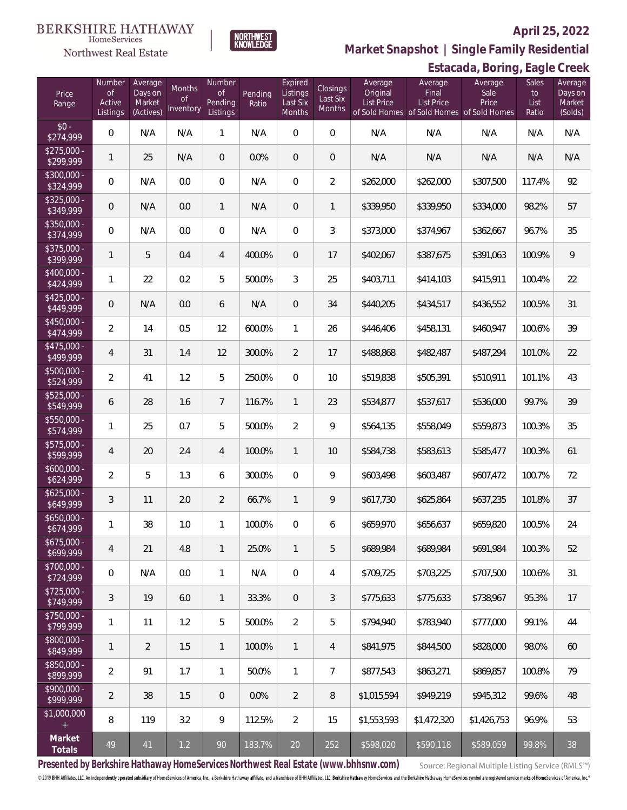#### **BERKSHIRE HATHAWAY**  $\label{lem:sevices} \textsc{Home} \textsc{Service} \textsc{s}$

# Northwest Real Estate

NORTHWEST<br>KNOWLEDGE

### **April 25, 2022**

**Market Snapshot | Single Family Residential**

|                           | Estacada, Boring, Eagle Creek             |                                           |                                  |                                            |                  |                                           |                                |                                          |                                                                             |                          |                              |                                         |
|---------------------------|-------------------------------------------|-------------------------------------------|----------------------------------|--------------------------------------------|------------------|-------------------------------------------|--------------------------------|------------------------------------------|-----------------------------------------------------------------------------|--------------------------|------------------------------|-----------------------------------------|
| Price<br>Range            | Number<br><b>of</b><br>Active<br>Listings | Average<br>Days on<br>Market<br>(Actives) | Months<br><b>of</b><br>Inventory | Number<br><b>of</b><br>Pending<br>Listings | Pending<br>Ratio | Expired<br>Listings<br>Last Six<br>Months | Closings<br>Last Six<br>Months | Average<br>Original<br><b>List Price</b> | Average<br>Final<br>List Price<br>of Sold Homes of Sold Homes of Sold Homes | Average<br>Sale<br>Price | Sales<br>to<br>List<br>Ratio | Average<br>Days on<br>Market<br>(Solds) |
| $$0 -$<br>\$274,999       | $\boldsymbol{0}$                          | N/A                                       | N/A                              | $\mathbf{1}$                               | N/A              | $\mathbf 0$                               | $\mathbf 0$                    | N/A                                      | N/A                                                                         | N/A                      | N/A                          | N/A                                     |
| $$275,000 -$<br>\$299,999 | 1                                         | 25                                        | N/A                              | $\mathbf 0$                                | 0.0%             | $\mathbf 0$                               | $\mathbf 0$                    | N/A                                      | N/A                                                                         | N/A                      | N/A                          | N/A                                     |
| $$300,000 -$<br>\$324,999 | $\boldsymbol{0}$                          | N/A                                       | 0.0                              | $\,0\,$                                    | N/A              | $\boldsymbol{0}$                          | $\overline{2}$                 | \$262,000                                | \$262,000                                                                   | \$307,500                | 117.4%                       | 92                                      |
| $$325,000 -$<br>\$349,999 | $\mathbf 0$                               | N/A                                       | 0.0                              | $\mathbf{1}$                               | N/A              | $\mathbf 0$                               | $\mathbb{1}$                   | \$339,950                                | \$339,950                                                                   | \$334,000                | 98.2%                        | 57                                      |
| \$350,000 -<br>\$374,999  | $\boldsymbol{0}$                          | N/A                                       | 0.0                              | $\,0\,$                                    | N/A              | $\mathbf 0$                               | $\sqrt{3}$                     | \$373,000                                | \$374,967                                                                   | \$362,667                | 96.7%                        | 35                                      |
| \$375,000 -<br>\$399,999  | $\mathbf{1}$                              | 5                                         | 0.4                              | $\overline{4}$                             | 400.0%           | $\mathbf 0$                               | 17                             | \$402,067                                | \$387,675                                                                   | \$391,063                | 100.9%                       | 9                                       |
| \$400,000 -<br>\$424,999  | 1                                         | 22                                        | 0.2                              | 5                                          | 500.0%           | $\mathfrak{Z}$                            | 25                             | \$403,711                                | \$414,103                                                                   | \$415,911                | 100.4%                       | 22                                      |
| $$425,000 -$<br>\$449,999 | $\mathbf 0$                               | N/A                                       | 0.0                              | 6                                          | N/A              | $\boldsymbol{0}$                          | 34                             | \$440,205                                | \$434,517                                                                   | \$436,552                | 100.5%                       | 31                                      |
| \$450,000 -<br>\$474,999  | $\overline{2}$                            | 14                                        | 0.5                              | 12                                         | 600.0%           | $\mathbf{1}$                              | 26                             | \$446,406                                | \$458,131                                                                   | \$460,947                | 100.6%                       | 39                                      |
| \$475,000 -<br>\$499,999  | $\overline{4}$                            | 31                                        | 1.4                              | 12                                         | 300.0%           | $\overline{2}$                            | 17                             | \$488,868                                | \$482,487                                                                   | \$487,294                | 101.0%                       | 22                                      |
| \$500,000 -<br>\$524,999  | $\overline{2}$                            | 41                                        | 1.2                              | 5                                          | 250.0%           | $\mathbf 0$                               | 10                             | \$519,838                                | \$505,391                                                                   | \$510,911                | 101.1%                       | 43                                      |
| \$525,000 -<br>\$549,999  | 6                                         | 28                                        | 1.6                              | $\overline{7}$                             | 116.7%           | $\mathbf{1}$                              | 23                             | \$534,877                                | \$537,617                                                                   | \$536,000                | 99.7%                        | 39                                      |
| \$550,000 -<br>\$574,999  | $\mathbf{1}$                              | 25                                        | 0.7                              | 5                                          | 500.0%           | $\overline{2}$                            | 9                              | \$564,135                                | \$558,049                                                                   | \$559,873                | 100.3%                       | 35                                      |
| \$575,000 -<br>\$599,999  | 4                                         | 20                                        | 2.4                              | $\overline{4}$                             | 100.0%           | $\mathbf{1}$                              | 10                             | \$584,738                                | \$583,613                                                                   | \$585,477                | 100.3%                       | 61                                      |
| $$600,000 -$<br>\$624,999 | $\overline{2}$                            | 5                                         | 1.3                              | 6                                          | 300.0%           | $\boldsymbol{0}$                          | 9                              | \$603,498                                | \$603,487                                                                   | \$607,472                | 100.7%                       | 72                                      |
| $$625,000 -$<br>\$649,999 | 3                                         | 11                                        | 2.0                              | $\overline{2}$                             | 66.7%            | $\mathbf{1}$                              | 9                              | \$617,730                                | \$625,864                                                                   | \$637,235                | 101.8%                       | 37                                      |
| \$650,000<br>\$674,999    | 1                                         | 38                                        | 1.0                              | $\mathbf{1}$                               | 100.0%           | $\mathbf{0}$                              | 6                              | \$659,970                                | \$656,637                                                                   | \$659,820                | 100.5%                       | 24                                      |
| $$675,000 -$<br>\$699,999 | 4                                         | 21                                        | 4.8                              | $\mathbf{1}$                               | 25.0%            | $\mathbf{1}$                              | 5                              | \$689,984                                | \$689,984                                                                   | \$691,984                | 100.3%                       | 52                                      |
| \$700,000 -<br>\$724,999  | 0                                         | N/A                                       | 0.0                              | $\mathbf{1}$                               | N/A              | $\overline{0}$                            | $\overline{4}$                 | \$709,725                                | \$703,225                                                                   | \$707,500                | 100.6%                       | 31                                      |
| $$725,000 -$<br>\$749,999 | 3                                         | 19                                        | 6.0                              | $\mathbf{1}$                               | 33.3%            | $\overline{0}$                            | 3                              | \$775,633                                | \$775,633                                                                   | \$738,967                | 95.3%                        | 17                                      |
| \$750,000 -<br>\$799,999  | 1                                         | 11                                        | 1.2                              | 5                                          | 500.0%           | $\overline{2}$                            | 5                              | \$794,940                                | \$783,940                                                                   | \$777,000                | 99.1%                        | 44                                      |
| \$800,000 -<br>\$849,999  | 1                                         | $\overline{2}$                            | 1.5                              | $\mathbf{1}$                               | 100.0%           | $\mathbf{1}$                              | $\overline{4}$                 | \$841,975                                | \$844,500                                                                   | \$828,000                | 98.0%                        | 60                                      |
| \$850,000 -<br>\$899,999  | $\overline{2}$                            | 91                                        | 1.7                              | $\mathbf{1}$                               | 50.0%            | $\mathbf{1}$                              | $\overline{7}$                 | \$877,543                                | \$863,271                                                                   | \$869,857                | 100.8%                       | 79                                      |
| \$900,000 -<br>\$999,999  | $\overline{2}$                            | 38                                        | 1.5                              | $\overline{0}$                             | 0.0%             | $\overline{2}$                            | $\, 8$                         | \$1,015,594                              | \$949,219                                                                   | \$945,312                | 99.6%                        | 48                                      |
| \$1,000,000               | 8                                         | 119                                       | 3.2                              | $\mathcal{G}$                              | 112.5%           | $\overline{2}$                            | 15                             | \$1,553,593                              | \$1,472,320                                                                 | \$1,426,753              | 96.9%                        | 53                                      |
| Market<br>Totals          | 49                                        | 41                                        | 1.2                              | 90                                         | 183.7%           | $20\,$                                    | 252                            | \$598,020                                | \$590,118                                                                   | \$589,059                | 99.8%                        | 38                                      |

**Presented by Berkshire Hathaway HomeServices Northwest Real Estate (www.bhhsnw.com)**

Source: Regional Multiple Listing Service (RMLS™)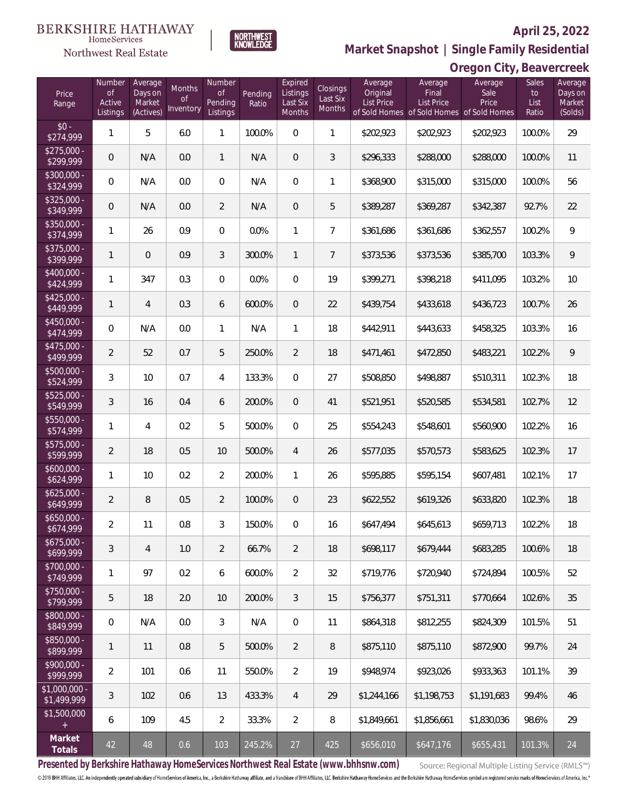### Northwest Real Estate

### **April 25, 2022**

**Oregon City, Beavercreek**



**Market Snapshot | Single Family Residential**

| Price<br>Range                       | Number<br>$\circ$ f<br>Active<br>Listings | Average<br>Days on<br>Market<br>(Actives) | Months<br><b>of</b><br>Inventory | <b>Number</b><br><b>of</b><br>Pending<br>Listings | Pending<br>Ratio | Expired<br>Listings<br>Last Six<br>Months | Closings<br>Last Six<br>Months | Average<br>Original<br>List Price | Average<br>Final<br>List Price<br>of Sold Homes of Sold Homes of Sold Homes | Average<br>Sale<br>Price | Sales<br>to<br>List<br>Ratio | Average<br>Days on<br>Market<br>(Solds) |
|--------------------------------------|-------------------------------------------|-------------------------------------------|----------------------------------|---------------------------------------------------|------------------|-------------------------------------------|--------------------------------|-----------------------------------|-----------------------------------------------------------------------------|--------------------------|------------------------------|-----------------------------------------|
| $$0 -$<br>\$274,999                  | $\mathbf{1}$                              | 5                                         | 6.0                              | $\mathbf{1}$                                      | 100.0%           | $\overline{0}$                            | 1                              | \$202,923                         | \$202,923                                                                   | \$202,923                | 100.0%                       | 29                                      |
| $$275,000 -$<br>\$299,999            | $\overline{0}$                            | N/A                                       | 0.0                              | $\mathbf{1}$                                      | N/A              | $\mathbf 0$                               | 3                              | \$296,333                         | \$288,000                                                                   | \$288,000                | 100.0%                       | 11                                      |
| $$300,000 -$<br>\$324,999            | $\overline{0}$                            | N/A                                       | 0.0                              | $\overline{0}$                                    | N/A              | $\overline{0}$                            | 1                              | \$368,900                         | \$315,000                                                                   | \$315,000                | 100.0%                       | 56                                      |
| $$325,000 -$<br>\$349,999            | $\boldsymbol{0}$                          | N/A                                       | 0.0                              | $\overline{2}$                                    | N/A              | $\mathbf 0$                               | 5                              | \$389,287                         | \$369,287                                                                   | \$342,387                | 92.7%                        | 22                                      |
| $$350,000 -$<br>\$374,999            | $\mathbf{1}$                              | 26                                        | 0.9                              | $\overline{0}$                                    | 0.0%             | $\mathbf{1}$                              | $\overline{7}$                 | \$361,686                         | \$361,686                                                                   | \$362,557                | 100.2%                       | 9                                       |
| \$375,000 -<br>\$399,999             | $\mathbf{1}$                              | $\overline{0}$                            | 0.9                              | 3                                                 | 300.0%           | $\mathbf{1}$                              | $\overline{7}$                 | \$373,536                         | \$373,536                                                                   | \$385,700                | 103.3%                       | 9                                       |
| $$400,000 -$<br>\$424,999            | $\mathbf{1}$                              | 347                                       | 0.3                              | $\overline{0}$                                    | 0.0%             | $\overline{0}$                            | 19                             | \$399,271                         | \$398,218                                                                   | \$411,095                | 103.2%                       | 10                                      |
| $$425,000 -$<br>\$449,999            | $\mathbf{1}$                              | $\overline{4}$                            | 0.3                              | 6                                                 | 600.0%           | $\mathbf 0$                               | 22                             | \$439,754                         | \$433,618                                                                   | \$436,723                | 100.7%                       | 26                                      |
| $$450,000 -$<br>\$474,999            | $\overline{0}$                            | N/A                                       | 0.0                              | $\mathbf{1}$                                      | N/A              | $\mathbf{1}$                              | 18                             | \$442,911                         | \$443,633                                                                   | \$458,325                | 103.3%                       | 16                                      |
| $$475,000 -$<br>\$499,999            | $\overline{2}$                            | 52                                        | 0.7                              | 5                                                 | 250.0%           | $\overline{2}$                            | 18                             | \$471,461                         | \$472,850                                                                   | \$483,221                | 102.2%                       | 9                                       |
| \$500,000 -<br>\$524,999             | 3                                         | 10                                        | 0.7                              | $\overline{4}$                                    | 133.3%           | $\overline{0}$                            | 27                             | \$508,850                         | \$498,887                                                                   | \$510,311                | 102.3%                       | 18                                      |
| $$525,000 -$<br>\$549,999            | $\mathfrak{Z}$                            | 16                                        | 0.4                              | 6                                                 | 200.0%           | $\overline{0}$                            | 41                             | \$521,951                         | \$520,585                                                                   | \$534,581                | 102.7%                       | 12                                      |
| $$550,000 -$<br>\$574,999            | $\mathbf{1}$                              | 4                                         | 0.2                              | 5                                                 | 500.0%           | $\overline{0}$                            | 25                             | \$554,243                         | \$548,601                                                                   | \$560,900                | 102.2%                       | 16                                      |
| $\overline{$575,000}$ -<br>\$599,999 | $\overline{2}$                            | 18                                        | 0.5                              | 10                                                | 500.0%           | $\overline{4}$                            | 26                             | \$577,035                         | \$570,573                                                                   | \$583,625                | 102.3%                       | 17                                      |
| $$600,000 -$<br>\$624,999            | $\mathbf{1}$                              | 10                                        | 0.2                              | $\overline{2}$                                    | 200.0%           | 1                                         | 26                             | \$595,885                         | \$595,154                                                                   | \$607,481                | 102.1%                       | 17                                      |
| $$625,000 -$<br>\$649,999            | $\overline{2}$                            | 8                                         | 0.5                              | $\overline{2}$                                    | 100.0%           | $\overline{0}$                            | 23                             | \$622,552                         | \$619,326                                                                   | \$633,820                | 102.3%                       | 18                                      |
| $$650,000 -$<br>\$674,999            | $\overline{2}$                            | 11                                        | 0.8                              | 3                                                 | 150.0%           | $\overline{0}$                            | 16                             | \$647,494                         | \$645,613                                                                   | \$659,713                | 102.2%                       | 18                                      |
| $$675,000 -$<br>\$699,999            | $\sqrt{3}$                                | 4                                         | 1.0                              | $\overline{2}$                                    | 66.7%            | $\overline{2}$                            | 18                             | \$698,117                         | \$679,444                                                                   | \$683,285                | 100.6%                       | 18                                      |
| $$700,000 -$<br>\$749,999            | $\mathbf{1}$                              | 97                                        | 0.2                              | 6                                                 | 600.0%           | $\overline{2}$                            | 32                             | \$719,776                         | \$720,940                                                                   | \$724,894                | 100.5%                       | 52                                      |
| \$750,000 -<br>\$799,999             | 5                                         | 18                                        | 2.0                              | 10                                                | 200.0%           | 3                                         | 15                             | \$756,377                         | \$751,311                                                                   | \$770,664                | 102.6%                       | 35                                      |
| \$800,000 -<br>\$849,999             | $\,0\,$                                   | N/A                                       | 0.0                              | 3                                                 | N/A              | $\mathbf 0$                               | 11                             | \$864,318                         | \$812,255                                                                   | \$824,309                | 101.5%                       | 51                                      |
| \$850,000 -<br>\$899,999             | $\mathbf{1}$                              | 11                                        | 0.8                              | 5                                                 | 500.0%           | 2                                         | $\, 8$                         | \$875,110                         | \$875,110                                                                   | \$872,900                | 99.7%                        | 24                                      |
| \$900,000 -<br>\$999,999             | $\overline{2}$                            | 101                                       | 0.6                              | 11                                                | 550.0%           | $\overline{2}$                            | 19                             | \$948,974                         | \$923,026                                                                   | \$933,363                | 101.1%                       | 39                                      |
| \$1,000,000 -<br>\$1,499,999         | 3                                         | 102                                       | 0.6                              | 13                                                | 433.3%           | $\overline{4}$                            | 29                             | \$1,244,166                       | \$1,198,753                                                                 | \$1,191,683              | 99.4%                        | 46                                      |
| \$1,500,000<br>$+$                   | 6                                         | 109                                       | 4.5                              | 2                                                 | 33.3%            | $\overline{2}$                            | $\, 8$                         | \$1,849,661                       | \$1,856,661                                                                 | \$1,830,036              | 98.6%                        | 29                                      |
| Market<br>Totals                     | 42                                        | 48                                        | 0.6                              | 103                                               | 245.2%           | 27                                        | 425                            | \$656,010                         | \$647,176                                                                   | \$655,431                | 101.3%                       | 24                                      |

**Presented by Berkshire Hathaway HomeServices Northwest Real Estate (www.bhhsnw.com)**

Source: Regional Multiple Listing Service (RMLS™)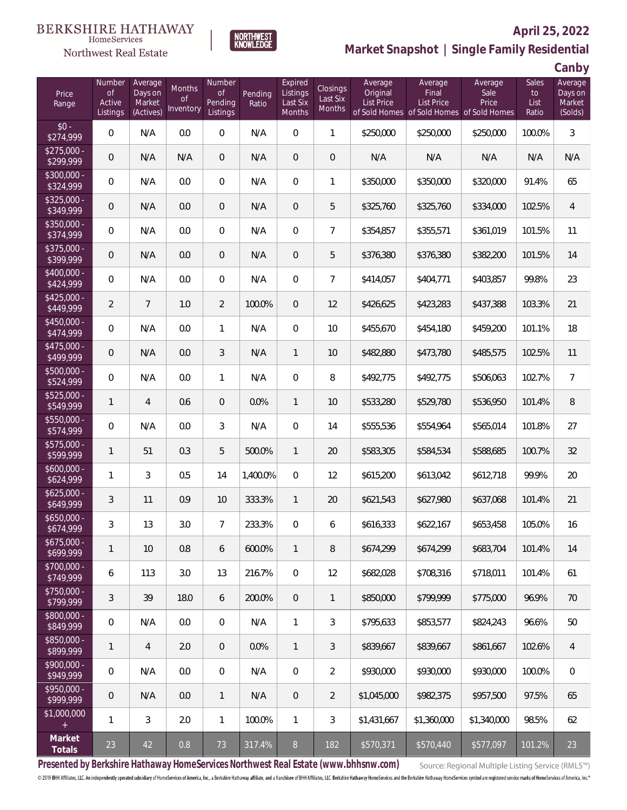### Northwest Real Estate



### **April 25, 2022 Market Snapshot | Single Family Residential**

**Canby**

| Price<br>Range            | Number<br><b>of</b><br>Active<br>Listings | Average<br>Days on<br>Market<br>(Actives) | Months<br>0f<br>Inventory | Number<br>0f<br>Pending<br>Listings | Pending<br>Ratio | Expired<br>Listings<br>Last Six<br>Months | <b>Closings</b><br>Last Six<br>Months | Average<br>Original<br><b>List Price</b> | Average<br>Final<br><b>List Price</b><br>of Sold Homes of Sold Homes of Sold Homes | Average<br>Sale<br>Price | Sales<br>to<br>List<br>Ratio | Average<br>Days on<br>Market<br>(Solds) |
|---------------------------|-------------------------------------------|-------------------------------------------|---------------------------|-------------------------------------|------------------|-------------------------------------------|---------------------------------------|------------------------------------------|------------------------------------------------------------------------------------|--------------------------|------------------------------|-----------------------------------------|
| $$0 -$<br>\$274,999       | 0                                         | N/A                                       | 0.0                       | $\mathbf 0$                         | N/A              | $\overline{0}$                            | $\mathbf{1}$                          | \$250,000                                | \$250,000                                                                          | \$250,000                | 100.0%                       | $\mathfrak{Z}$                          |
| $$275,000 -$<br>\$299,999 | 0                                         | N/A                                       | N/A                       | $\theta$                            | N/A              | $\overline{0}$                            | $\mathbf 0$                           | N/A                                      | N/A                                                                                | N/A                      | N/A                          | N/A                                     |
| $$300,000 -$<br>\$324,999 | 0                                         | N/A                                       | 0.0                       | 0                                   | N/A              | 0                                         | 1                                     | \$350,000                                | \$350,000                                                                          | \$320,000                | 91.4%                        | 65                                      |
| $$325,000 -$<br>\$349,999 | 0                                         | N/A                                       | 0.0                       | $\theta$                            | N/A              | $\overline{0}$                            | 5                                     | \$325,760                                | \$325,760                                                                          | \$334,000                | 102.5%                       | $\overline{4}$                          |
| $$350,000 -$<br>\$374,999 | 0                                         | N/A                                       | 0.0                       | $\overline{0}$                      | N/A              | 0                                         | 7                                     | \$354,857                                | \$355,571                                                                          | \$361,019                | 101.5%                       | 11                                      |
| $$375,000 -$<br>\$399,999 | 0                                         | N/A                                       | 0.0                       | $\theta$                            | N/A              | $\mathbf 0$                               | 5                                     | \$376,380                                | \$376,380                                                                          | \$382,200                | 101.5%                       | 14                                      |
| $$400,000 -$<br>\$424,999 | 0                                         | N/A                                       | 0.0                       | 0                                   | N/A              | 0                                         | $\overline{7}$                        | \$414,057                                | \$404,771                                                                          | \$403,857                | 99.8%                        | 23                                      |
| $$425,000 -$<br>\$449,999 | $\overline{2}$                            | $\overline{7}$                            | 1.0                       | $\overline{2}$                      | 100.0%           | $\mathbf 0$                               | 12                                    | \$426,625                                | \$423,283                                                                          | \$437,388                | 103.3%                       | 21                                      |
| $$450,000 -$<br>\$474,999 | 0                                         | N/A                                       | 0.0                       | $\mathbf{1}$                        | N/A              | 0                                         | 10                                    | \$455,670                                | \$454,180                                                                          | \$459,200                | 101.1%                       | 18                                      |
| $$475,000 -$<br>\$499,999 | 0                                         | N/A                                       | 0.0                       | 3                                   | N/A              | $\mathbf{1}$                              | 10                                    | \$482,880                                | \$473,780                                                                          | \$485,575                | 102.5%                       | 11                                      |
| $$500,000 -$<br>\$524,999 | 0                                         | N/A                                       | 0.0                       | $\mathbf{1}$                        | N/A              | 0                                         | 8                                     | \$492,775                                | \$492,775                                                                          | \$506,063                | 102.7%                       | $\overline{7}$                          |
| $$525,000 -$<br>\$549,999 | 1                                         | $\overline{4}$                            | 0.6                       | $\overline{0}$                      | 0.0%             | $\mathbf{1}$                              | 10                                    | \$533,280                                | \$529,780                                                                          | \$536,950                | 101.4%                       | $\, 8$                                  |
| $$550,000 -$<br>\$574,999 | 0                                         | N/A                                       | 0.0                       | 3                                   | N/A              | 0                                         | 14                                    | \$555,536                                | \$554,964                                                                          | \$565,014                | 101.8%                       | 27                                      |
| $$575,000 -$<br>\$599,999 | 1                                         | 51                                        | 0.3                       | 5                                   | 500.0%           | $\mathbf{1}$                              | 20                                    | \$583,305                                | \$584,534                                                                          | \$588,685                | 100.7%                       | 32                                      |
| $$600,000 -$<br>\$624,999 | 1                                         | 3                                         | 0.5                       | 14                                  | 1,400.0%         | 0                                         | 12                                    | \$615,200                                | \$613,042                                                                          | \$612,718                | 99.9%                        | 20                                      |
| $$625,000 -$<br>\$649,999 | 3                                         | 11                                        | 0.9                       | 10                                  | 333.3%           | $\mathbf{1}$                              | 20                                    | \$621,543                                | \$627,980                                                                          | \$637,068                | 101.4%                       | 21                                      |
| $$650,000 -$<br>\$674,999 | 3                                         | 13                                        | 3.0                       | 7                                   | 233.3%           | 0                                         | 6                                     | \$616,333                                | \$622,167                                                                          | \$653,458                | 105.0%                       | 16                                      |
| $$675,000 -$<br>\$699,999 | 1                                         | 10                                        | 0.8                       | 6                                   | 600.0%           | 1                                         | 8                                     | \$674,299                                | \$674.299                                                                          | \$683,704                | 101.4%                       | 14                                      |
| $$700.000 -$<br>\$749,999 | 6                                         | 113                                       | 3.0                       | 13                                  | 216.7%           | $\overline{0}$                            | 12                                    | \$682,028                                | \$708,316                                                                          | \$718,011                | 101.4%                       | 61                                      |
| $$750,000 -$<br>\$799,999 | 3                                         | 39                                        | 18.0                      | 6                                   | 200.0%           | $\overline{0}$                            | 1                                     | \$850,000                                | \$799,999                                                                          | \$775,000                | 96.9%                        | 70                                      |
| \$800,000 -<br>\$849,999  | 0                                         | N/A                                       | 0.0                       | $\overline{0}$                      | N/A              | $\mathbf{1}$                              | 3                                     | \$795,633                                | \$853,577                                                                          | \$824,243                | 96.6%                        | 50                                      |
| \$850,000 -<br>\$899,999  | 1                                         | $\overline{4}$                            | 2.0                       | $\overline{0}$                      | $0.0\%$          | $\mathbf{1}$                              | 3                                     | \$839,667                                | \$839,667                                                                          | \$861,667                | 102.6%                       | 4                                       |
| $$900.000 -$<br>\$949,999 | 0                                         | N/A                                       | 0.0                       | $\boldsymbol{0}$                    | N/A              | $\overline{0}$                            | $\overline{2}$                        | \$930,000                                | \$930,000                                                                          | \$930,000                | 100.0%                       | $\mathbf 0$                             |
| $$950.000 -$<br>\$999,999 | 0                                         | N/A                                       | 0.0                       | $\mathbf{1}$                        | N/A              | $\overline{0}$                            | $\overline{2}$                        | \$1,045,000                              | \$982,375                                                                          | \$957,500                | 97.5%                        | 65                                      |
| \$1,000,000               | 1                                         | 3                                         | 2.0                       | $\mathbf{1}$                        | 100.0%           | $\mathbf{1}$                              | 3                                     | \$1,431,667                              | \$1,360,000                                                                        | \$1,340,000              | 98.5%                        | 62                                      |
| Market<br>Totals          | 23                                        | 42                                        | 0.8                       | 73                                  | 317.4%           | 8 <sup>°</sup>                            | 182                                   | \$570,371                                | \$570,440                                                                          | \$577,097                | 101.2%                       | 23                                      |

**Presented by Berkshire Hathaway HomeServices Northwest Real Estate (www.bhhsnw.com)**

Source: Regional Multiple Listing Service (RMLS™)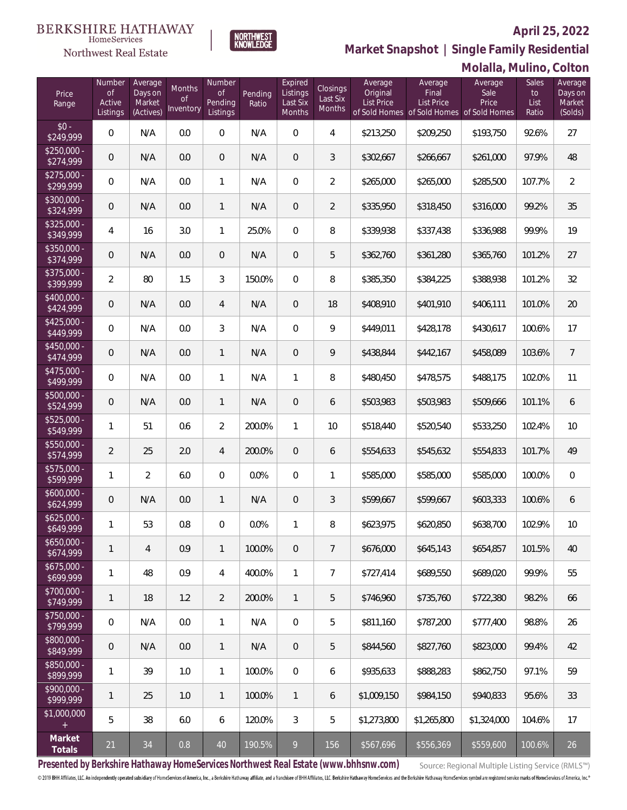$$0 -$ <br>\$249.999

\$250,000 -<br>\$274,999

\$275,000 -<br>\$299,999

\$300,000 -<br>\$324,999

\$325,000 -<br>\$349,999

\$350,000 -<br>\$374,999

\$375,000<br>\$399,999

\$400,000 -<br>\$424,999

\$425,000 -<br>\$449,999

\$450,000 -<br>\$474,999

\$475,000<br>\$499,999

\$500,000 -<br>\$524,999

\$525,000 -

\$550,000 -

\$575,000 -

\$600,000 -

\$625,000 -

\$650,000

\$675,000<br>\$699,999

\$700,000 -<br>\$749,999

\$750,000 -<br>\$799,999

\$800,000

\$850,000 -

\$900,000 -

### **Northwest Real Estate**

NORTHWEST<br>KNOWLEDGE

Number

#### **April 25, 2022**

**Molalla, Mulino, Colton**

Sales



| Price<br>Range            | Number<br><b>of</b><br>Active<br>Listings | Average<br>Days on<br>Market<br>(Actives) | Months<br>$\Omega$<br>Inventory | Number<br><b>of</b><br>Pending<br>Listings | Pending<br>Ratio | Expired<br>Listings<br>Last Six<br><b>Months</b> | Closings<br>Last Six<br><b>Months</b> | Average<br>Original<br>List Price | Average<br>Final<br>List Price<br>of Sold Homes of Sold Homes of Sold Homes | Average<br>Sale<br>Price | Sales<br>to<br>List<br>Ratio | Average<br>Days on<br>Market<br>(Solds) |
|---------------------------|-------------------------------------------|-------------------------------------------|---------------------------------|--------------------------------------------|------------------|--------------------------------------------------|---------------------------------------|-----------------------------------|-----------------------------------------------------------------------------|--------------------------|------------------------------|-----------------------------------------|
| $$0 -$<br>\$249,999       | $\mathbf{0}$                              | N/A                                       | 0.0                             | 0                                          | N/A              | $\mathbf{0}$                                     | $\overline{4}$                        | \$213,250                         | \$209,250                                                                   | \$193,750                | 92.6%                        | 27                                      |
| \$250,000 -<br>\$274,999  | $\overline{0}$                            | N/A                                       | 0.0                             | 0                                          | N/A              | 0                                                | 3                                     | \$302,667                         | \$266,667                                                                   | \$261,000                | 97.9%                        | 48                                      |
| \$275,000 -<br>\$299,999  | 0                                         | N/A                                       | 0.0                             | 1                                          | N/A              | 0                                                | 2                                     | \$265,000                         | \$265,000                                                                   | \$285,500                | 107.7%                       | 2                                       |
| $$300,000 -$<br>\$324,999 | $\overline{0}$                            | N/A                                       | 0.0                             | 1                                          | N/A              | 0                                                | 2                                     | \$335,950                         | \$318,450                                                                   | \$316,000                | 99.2%                        | 35                                      |
| \$325,000 -<br>\$349,999  | 4                                         | 16                                        | 3.0                             | 1                                          | 25.0%            | $\mathbf 0$                                      | 8                                     | \$339,938                         | \$337,438                                                                   | \$336,988                | 99.9%                        | 19                                      |
| \$350,000 -<br>\$374,999  | $\overline{0}$                            | N/A                                       | 0.0                             | 0                                          | N/A              | $\mathbf 0$                                      | 5                                     | \$362,760                         | \$361,280                                                                   | \$365,760                | 101.2%                       | 27                                      |
| \$375,000 -<br>\$399,999  | $\overline{2}$                            | 80                                        | 1.5                             | 3                                          | 150.0%           | $\mathbf 0$                                      | 8                                     | \$385,350                         | \$384,225                                                                   | \$388,938                | 101.2%                       | 32                                      |
| \$400,000 -<br>\$424,999  | $\overline{0}$                            | N/A                                       | 0.0                             | 4                                          | N/A              | 0                                                | 18                                    | \$408,910                         | \$401,910                                                                   | \$406,111                | 101.0%                       | 20                                      |
| \$425,000 -<br>\$449,999  | 0                                         | N/A                                       | 0.0                             | 3                                          | N/A              | $\mathbf 0$                                      | 9                                     | \$449,011                         | \$428,178                                                                   | \$430,617                | 100.6%                       | 17                                      |
| \$450,000 -<br>\$474,999  | $\overline{0}$                            | N/A                                       | 0.0                             | 1                                          | N/A              | $\mathbf 0$                                      | 9                                     | \$438,844                         | \$442,167                                                                   | \$458,089                | 103.6%                       | $\overline{7}$                          |
| \$475,000 -<br>\$499,999  | 0                                         | N/A                                       | 0.0                             | 1                                          | N/A              | 1                                                | 8                                     | \$480,450                         | \$478,575                                                                   | \$488,175                | 102.0%                       | 11                                      |
| 500,000 -<br>\$524,999    | $\overline{0}$                            | N/A                                       | 0.0                             | 1                                          | N/A              | 0                                                | 6                                     | \$503,983                         | \$503,983                                                                   | \$509,666                | 101.1%                       | 6                                       |
| 5525,000 -<br>\$549,999   | 1                                         | 51                                        | 0.6                             | 2                                          | 200.0%           | 1                                                | 10                                    | \$518,440                         | \$520,540                                                                   | \$533,250                | 102.4%                       | 10 <sup>°</sup>                         |
| 550,000 -<br>\$574,999    | 2                                         | 25                                        | 2.0                             | 4                                          | 200.0%           | $\mathbf 0$                                      | 6                                     | \$554,633                         | \$545,632                                                                   | \$554,833                | 101.7%                       | 49                                      |
| 5575,000 -<br>\$599,999   | 1                                         | $\overline{2}$                            | 6.0                             | 0                                          | 0.0%             | $\mathbf 0$                                      | $\mathbf{1}$                          | \$585,000                         | \$585,000                                                                   | \$585,000                | 100.0%                       | $\Omega$                                |
| $600,000 -$<br>\$624,999  | $\overline{0}$                            | N/A                                       | 0.0                             | 1                                          | N/A              | $\mathbf 0$                                      | 3                                     | \$599,667                         | \$599,667                                                                   | \$603,333                | 100.6%                       | 6                                       |
| 625,000 -<br>\$649,999    | 1                                         | 53                                        | 0.8                             | 0                                          | 0.0%             | 1                                                | 8                                     | \$623,975                         | \$620,850                                                                   | \$638,700                | 102.9%                       | 10 <sup>°</sup>                         |
| $650,000 -$<br>\$674,999  | 1                                         | $\overline{4}$                            | 0.9                             | 1                                          | 100.0%           | $\overline{0}$                                   | $\overline{7}$                        | \$676,000                         | \$645,143                                                                   | \$654,857                | 101.5%                       | 40                                      |
| 675,000 -<br>\$699,999    | 1                                         | 48                                        | 0.9                             | 4                                          | 400.0%           | 1                                                | $\overline{7}$                        | \$727,414                         | \$689,550                                                                   | \$689,020                | 99.9%                        | 55                                      |
| \$700,000 -<br>\$749,999  | $\mathbf{1}$                              | 18                                        | 1.2                             | 2                                          | 200.0%           | 1                                                | 5                                     | \$746,960                         | \$735,760                                                                   | \$722,380                | 98.2%                        | 66                                      |
| \$750,000 -<br>\$799,999  | 0                                         | N/A                                       | 0.0                             | 1                                          | N/A              | $\mathbf 0$                                      | 5                                     | \$811,160                         | \$787,200                                                                   | \$777,400                | 98.8%                        | 26                                      |
| $$800,000 -$<br>\$849,999 | $\mathbf 0$                               | N/A                                       | 0.0                             | 1                                          | N/A              | 0                                                | 5                                     | \$844,560                         | \$827,760                                                                   | \$823,000                | 99.4%                        | 42                                      |
| \$850,000 -<br>\$899,999  | 1                                         | 39                                        | 1.0                             | 1                                          | 100.0%           | 0                                                | 6                                     | \$935,633                         | \$888,283                                                                   | \$862,750                | 97.1%                        | 59                                      |
| \$900,000 -<br>\$999,999  | $\mathbf{1}$                              | 25                                        | 1.0                             | 1                                          | 100.0%           | $\mathbf{1}$                                     | 6                                     | \$1,009,150                       | \$984,150                                                                   | \$940,833                | 95.6%                        | 33                                      |

\$1,000,000 + 5 | 38 | 6.0 | 6 |120.0% | 3 | 5 |\$1,273,800 \$1,265,800 \$1,324,000 |104.6% | 17 **Market Totals** <sup>21</sup> <sup>34</sup> 0.8 <sup>40</sup> 190.5% <sup>9</sup> <sup>156</sup> \$567,696 \$556,369 \$559,600 100.6% <sup>26</sup>

**Presented by Berkshire Hathaway HomeServices Northwest Real Estate (www.bhhsnw.com)**

Source: Regional Multiple Listing Service (RMLS™)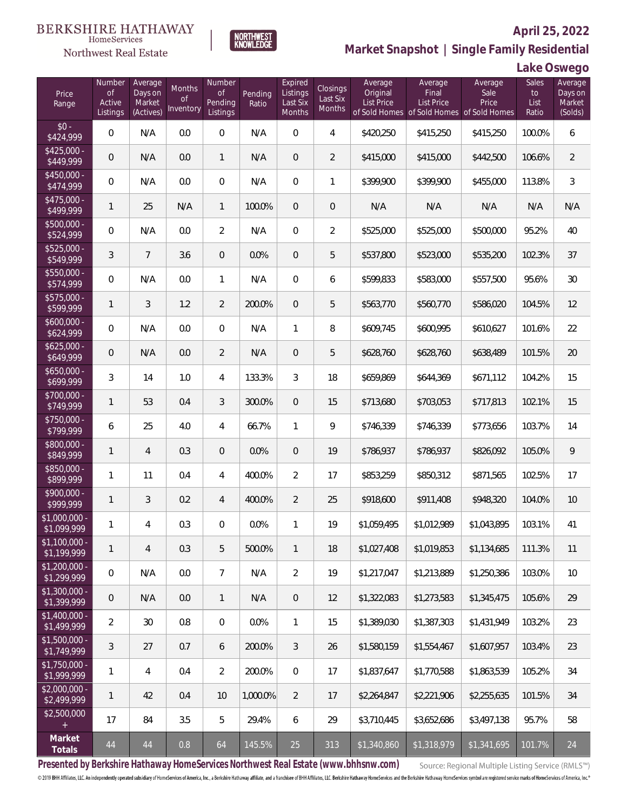

### **April 25, 2022 Market Snapshot | Single Family Residential**



| Price<br>Range                | Number<br>of<br>Active<br>Listings | Average<br>Days on<br>Market<br>(Actives) | Months<br>Οf<br>Inventory | Number<br><b>of</b><br>Pending<br>Listings | Pending<br>Ratio | Expired<br>Listings<br>Last Six<br>Months | <b>Closings</b><br>Last Six<br>Months | Average<br>Original<br>List Price | Average<br>Final<br>List Price<br>of Sold Homes of Sold Homes of Sold Homes | Average<br>Sale<br>Price | Sales<br>to<br>List<br>Ratio | Average<br>Days on<br>Market<br>(Solds) |
|-------------------------------|------------------------------------|-------------------------------------------|---------------------------|--------------------------------------------|------------------|-------------------------------------------|---------------------------------------|-----------------------------------|-----------------------------------------------------------------------------|--------------------------|------------------------------|-----------------------------------------|
| $$0 -$<br>\$424,999           | 0                                  | N/A                                       | 0.0                       | $\Omega$                                   | N/A              | $\Omega$                                  | $\overline{4}$                        | \$420,250                         | \$415,250                                                                   | \$415,250                | 100.0%                       | 6                                       |
| $$425,000 -$<br>\$449,999     | 0                                  | N/A                                       | 0.0                       | $\mathbf{1}$                               | N/A              | $\overline{0}$                            | $\overline{2}$                        | \$415,000                         | \$415,000                                                                   | \$442,500                | 106.6%                       | $\overline{2}$                          |
| $$450,000 -$<br>\$474,999     | 0                                  | N/A                                       | 0.0                       | $\overline{0}$                             | N/A              | $\overline{0}$                            | 1                                     | \$399,900                         | \$399,900                                                                   | \$455,000                | 113.8%                       | 3                                       |
| $$475,000 -$<br>\$499,999     | 1                                  | 25                                        | N/A                       | $\mathbf{1}$                               | 100.0%           | $\overline{0}$                            | $\theta$                              | N/A                               | N/A                                                                         | N/A                      | N/A                          | N/A                                     |
| \$500,000 -<br>\$524,999      | $\overline{0}$                     | N/A                                       | 0.0                       | $\overline{2}$                             | N/A              | $\overline{0}$                            | $\overline{2}$                        | \$525,000                         | \$525,000                                                                   | \$500,000                | 95.2%                        | 40                                      |
| \$525,000 -<br>\$549,999      | 3                                  | $\overline{7}$                            | 3.6                       | $\overline{0}$                             | 0.0%             | $\overline{0}$                            | 5                                     | \$537,800                         | \$523,000                                                                   | \$535,200                | 102.3%                       | 37                                      |
| \$550,000 -<br>\$574,999      | $\overline{0}$                     | N/A                                       | 0.0                       | $\mathbf{1}$                               | N/A              | $\overline{0}$                            | 6                                     | \$599,833                         | \$583,000                                                                   | \$557,500                | 95.6%                        | 30                                      |
| \$575,000 -<br>\$599,999      | 1                                  | 3                                         | 1.2                       | $\overline{2}$                             | 200.0%           | $\overline{0}$                            | 5                                     | \$563,770                         | \$560,770                                                                   | \$586,020                | 104.5%                       | 12                                      |
| $$600,000 -$<br>\$624,999     | $\boldsymbol{0}$                   | N/A                                       | 0.0                       | $\overline{0}$                             | N/A              | $\mathbf{1}$                              | 8                                     | \$609,745                         | \$600,995                                                                   | \$610,627                | 101.6%                       | 22                                      |
| $$625,000 -$<br>\$649,999     | 0                                  | N/A                                       | 0.0                       | $\overline{2}$                             | N/A              | $\overline{0}$                            | 5                                     | \$628,760                         | \$628,760                                                                   | \$638,489                | 101.5%                       | 20                                      |
| $$650,000 -$<br>\$699,999     | 3                                  | 14                                        | 1.0                       | $\overline{4}$                             | 133.3%           | 3                                         | 18                                    | \$659,869                         | \$644,369                                                                   | \$671,112                | 104.2%                       | 15                                      |
| \$700,000 -<br>\$749,999      | 1                                  | 53                                        | 0.4                       | 3                                          | 300.0%           | $\overline{0}$                            | 15                                    | \$713,680                         | \$703,053                                                                   | \$717,813                | 102.1%                       | 15                                      |
| $$750,000 -$<br>\$799,999     | 6                                  | 25                                        | 4.0                       | 4                                          | 66.7%            | $\mathbf{1}$                              | 9                                     | \$746,339                         | \$746,339                                                                   | \$773,656                | 103.7%                       | 14                                      |
| \$800,000 -<br>\$849,999      | 1                                  | $\overline{4}$                            | 0.3                       | $\overline{0}$                             | 0.0%             | $\overline{0}$                            | 19                                    | \$786,937                         | \$786,937                                                                   | \$826,092                | 105.0%                       | 9                                       |
| \$850,000 -<br>\$899,999      | 1                                  | 11                                        | 0.4                       | $\overline{4}$                             | 400.0%           | $\overline{2}$                            | 17                                    | \$853,259                         | \$850,312                                                                   | \$871,565                | 102.5%                       | 17                                      |
| $$900,000 -$<br>\$999,999     | 1                                  | 3                                         | 0.2                       | 4                                          | 400.0%           | $\overline{2}$                            | 25                                    | \$918,600                         | \$911,408                                                                   | \$948,320                | 104.0%                       | 10                                      |
| \$1,000,000 -<br>\$1,099,999  | 1                                  | 4                                         | 0.3                       | $\mathbf{0}$                               | 0.0%             | 1                                         | 19                                    | \$1,059,495                       | \$1,012,989                                                                 | \$1,043,895              | 103.1%                       | 41                                      |
| $$1,100,000 -$<br>\$1,199,999 | 1                                  | 4                                         | 0.3                       | 5                                          | 500.0%           | $\mathbf{1}$                              | 18                                    | \$1,027,408                       | \$1,019,853                                                                 | \$1,134,685              | 111.3%                       | 11                                      |
| $$1,200,000 -$<br>\$1,299,999 | $\mathbf 0$                        | N/A                                       | 0.0                       | $7\overline{ }$                            | N/A              | $\overline{2}$                            | 19                                    | \$1,217,047                       | \$1,213,889                                                                 | \$1,250,386              | 103.0%                       | 10                                      |
| $$1,300,000 -$<br>\$1,399,999 | $\mathbf 0$                        | N/A                                       | 0.0                       | $\overline{1}$                             | N/A              | $\overline{0}$                            | 12                                    | \$1,322,083                       | \$1,273,583                                                                 | \$1,345,475              | 105.6%                       | 29                                      |
| $$1,400,000 -$<br>\$1,499,999 | $\overline{2}$                     | 30                                        | 0.8                       | $\mathbf 0$                                | 0.0%             | $\mathbf{1}$                              | 15                                    | \$1,389,030                       | \$1,387,303                                                                 | \$1,431,949              | 103.2%                       | 23                                      |
| $$1,500,000 -$<br>\$1,749,999 | 3                                  | 27                                        | 0.7                       | 6                                          | 200.0%           | $\mathfrak{Z}$                            | 26                                    | \$1,580,159                       | \$1,554,467                                                                 | \$1,607,957              | 103.4%                       | 23                                      |
| $$1,750,000 -$<br>\$1,999,999 | 1                                  | 4                                         | 0.4                       | $\overline{2}$                             | 200.0%           | $\overline{0}$                            | 17                                    | \$1,837,647                       | \$1,770,588                                                                 | \$1,863,539              | 105.2%                       | 34                                      |
| $$2,000,000 -$<br>\$2,499,999 | $\mathbf{1}$                       | 42                                        | 0.4                       | 10                                         | 1.000.0%         | $\overline{2}$                            | 17                                    | \$2,264,847                       | \$2,221,906                                                                 | \$2,255,635              | 101.5%                       | 34                                      |
| \$2,500,000<br>$+$            | 17                                 | 84                                        | 3.5                       | 5                                          | 29.4%            | 6                                         | 29                                    | \$3,710,445                       | \$3,652,686                                                                 | \$3,497,138              | 95.7%                        | 58                                      |
| Market<br>Totals              | $44\,$                             | 44                                        | 0.8                       | 64                                         | 145.5%           | 25                                        | 313                                   | \$1,340,860                       | \$1,318,979                                                                 | \$1,341,695              | 101.7%                       | 24                                      |

**NORTHWEST**<br>KNOWLEDGE

**Presented by Berkshire Hathaway HomeServices Northwest Real Estate (www.bhhsnw.com)**

Source: Regional Multiple Listing Service (RMLS™)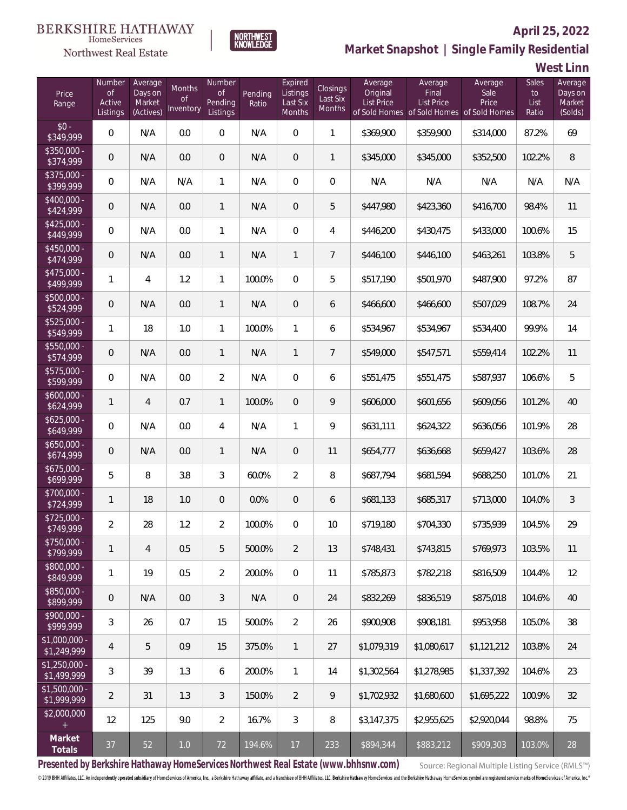Northwest Real Estate



# **April 25, 2022**

**Market Snapshot | Single Family Residential**

**West Linn**

| Price<br>Range                | Number<br><b>of</b><br>Active<br>Listings | Average<br>Days on<br>Market<br>(Actives) | Months<br>0f<br>Inventory | Number<br><b>of</b><br><b>Pending</b><br>Listings | Pending<br>Ratio | Expired<br>Listings<br>Last Six<br>Months | Closings<br>Last Six<br>Months | Average<br>Original<br><b>List Price</b> | Average<br>Final<br><b>List Price</b> | Average<br>Sale<br>Price<br>of Sold Homes of Sold Homes of Sold Homes | Sales<br>to<br>List<br>Ratio | Average<br>Days on<br>Market<br>(Solds) |
|-------------------------------|-------------------------------------------|-------------------------------------------|---------------------------|---------------------------------------------------|------------------|-------------------------------------------|--------------------------------|------------------------------------------|---------------------------------------|-----------------------------------------------------------------------|------------------------------|-----------------------------------------|
| $$0 -$<br>\$349,999           | $\overline{0}$                            | N/A                                       | 0.0                       | $\overline{0}$                                    | N/A              | $\Omega$                                  | $\mathbf{1}$                   | \$369,900                                | \$359,900                             | \$314,000                                                             | 87.2%                        | 69                                      |
| $$350,000 -$<br>\$374,999     | $\overline{0}$                            | N/A                                       | 0.0                       | $\overline{0}$                                    | N/A              | $\overline{0}$                            | 1                              | \$345,000                                | \$345,000                             | \$352,500                                                             | 102.2%                       | 8                                       |
| $$375,000 -$<br>\$399,999     | $\overline{0}$                            | N/A                                       | N/A                       | $\mathbf{1}$                                      | N/A              | $\overline{0}$                            | $\overline{0}$                 | N/A                                      | N/A                                   | N/A                                                                   | N/A                          | N/A                                     |
| $$400,000 -$<br>\$424,999     | $\boldsymbol{0}$                          | N/A                                       | 0.0                       | $\mathbf{1}$                                      | N/A              | $\overline{0}$                            | 5                              | \$447,980                                | \$423,360                             | \$416,700                                                             | 98.4%                        | 11                                      |
| $$425,000 -$<br>\$449,999     | $\overline{0}$                            | N/A                                       | 0.0                       | $\mathbf{1}$                                      | N/A              | $\overline{0}$                            | 4                              | \$446,200                                | \$430,475                             | \$433,000                                                             | 100.6%                       | 15                                      |
| $$450,000 -$<br>\$474,999     | $\overline{0}$                            | N/A                                       | 0.0                       | $\mathbf{1}$                                      | N/A              | $\mathbf{1}$                              | $\overline{7}$                 | \$446,100                                | \$446,100                             | \$463,261                                                             | 103.8%                       | 5                                       |
| $$475,000 -$<br>\$499,999     | $\mathbf{1}$                              | $\overline{4}$                            | 1.2                       | $\mathbf{1}$                                      | 100.0%           | $\overline{0}$                            | 5                              | \$517,190                                | \$501,970                             | \$487,900                                                             | 97.2%                        | 87                                      |
| $$500,000 -$<br>\$524,999     | $\overline{0}$                            | N/A                                       | 0.0                       | $\mathbf{1}$                                      | N/A              | $\overline{0}$                            | 6                              | \$466,600                                | \$466,600                             | \$507,029                                                             | 108.7%                       | 24                                      |
| $$525,000 -$<br>\$549,999     | $\mathbf{1}$                              | 18                                        | 1.0                       | $\mathbf{1}$                                      | 100.0%           | $\mathbf{1}$                              | 6                              | \$534,967                                | \$534,967                             | \$534,400                                                             | 99.9%                        | 14                                      |
| $$550,000 -$<br>\$574,999     | $\overline{0}$                            | N/A                                       | 0.0                       | $\mathbf{1}$                                      | N/A              | $\mathbf{1}$                              | $\overline{7}$                 | \$549,000                                | \$547,571                             | \$559,414                                                             | 102.2%                       | 11                                      |
| $$575,000 -$<br>\$599,999     | $\overline{0}$                            | N/A                                       | 0.0                       | $\overline{2}$                                    | N/A              | $\overline{0}$                            | 6                              | \$551,475                                | \$551,475                             | \$587,937                                                             | 106.6%                       | 5                                       |
| $$600,000 -$<br>\$624,999     | $\mathbf{1}$                              | $\overline{4}$                            | 0.7                       | $\mathbf{1}$                                      | 100.0%           | $\overline{0}$                            | 9                              | \$606,000                                | \$601,656                             | \$609,056                                                             | 101.2%                       | 40                                      |
| $$625,000 -$<br>\$649,999     | $\mathbf 0$                               | N/A                                       | 0.0                       | $\overline{4}$                                    | N/A              | $\mathbf{1}$                              | 9                              | \$631,111                                | \$624,322                             | \$636,056                                                             | 101.9%                       | 28                                      |
| $$650,000 -$<br>\$674,999     | $\overline{0}$                            | N/A                                       | 0.0                       | $\mathbf{1}$                                      | N/A              | $\overline{0}$                            | 11                             | \$654,777                                | \$636,668                             | \$659,427                                                             | 103.6%                       | 28                                      |
| $$675,000 -$<br>\$699,999     | 5                                         | 8                                         | 3.8                       | 3                                                 | 60.0%            | $\overline{2}$                            | 8                              | \$687,794                                | \$681,594                             | \$688,250                                                             | 101.0%                       | 21                                      |
| $$700,000 -$<br>\$724,999     | $\mathbf{1}$                              | 18                                        | 1.0                       | $\overline{0}$                                    | 0.0%             | $\overline{0}$                            | 6                              | \$681,133                                | \$685,317                             | \$713,000                                                             | 104.0%                       | $\mathfrak{Z}$                          |
| $$725,000 -$<br>\$749,999     | $\overline{2}$                            | 28                                        | 1.2                       | $\overline{2}$                                    | 100.0%           | $\overline{0}$                            | 10                             | \$719,180                                | \$704,330                             | \$735,939                                                             | 104.5%                       | 29                                      |
| \$750,000 -<br>\$799,999      | $\mathbf{1}$                              | $\overline{4}$                            | 0.5                       | 5                                                 | 500.0%           | $\overline{2}$                            | 13                             | \$748,431                                | \$743,815                             | \$769,973                                                             | 103.5%                       | 11                                      |
| $$800,000 -$<br>\$849,999     | $\mathbf{1}$                              | 19                                        | 0.5                       | $\overline{2}$                                    | 200.0%           | $\overline{0}$                            | 11                             | \$785,873                                | \$782,218                             | \$816,509                                                             | 104.4%                       | 12                                      |
| $$850,000 -$<br>\$899,999     | $\mathbf 0$                               | N/A                                       | 0.0                       | 3                                                 | N/A              | $\overline{0}$                            | 24                             | \$832,269                                | \$836,519                             | \$875,018                                                             | 104.6%                       | 40                                      |
| \$900,000 -<br>\$999,999      | 3                                         | 26                                        | 0.7                       | 15                                                | 500.0%           | $\overline{2}$                            | 26                             | \$900,908                                | \$908,181                             | \$953,958                                                             | 105.0%                       | 38                                      |
| \$1,000,000 -<br>\$1,249,999  | $\overline{4}$                            | 5                                         | 0.9                       | 15                                                | 375.0%           | $\mathbf{1}$                              | 27                             | \$1,079,319                              | \$1,080,617                           | \$1,121,212                                                           | 103.8%                       | 24                                      |
| $$1,250,000 -$<br>\$1,499,999 | $\mathfrak{Z}$                            | 39                                        | 1.3                       | 6                                                 | 200.0%           | $\mathbf{1}$                              | 14                             | \$1,302,564                              | \$1,278,985                           | \$1,337,392                                                           | 104.6%                       | 23                                      |
| $$1,500,000$ -<br>\$1,999,999 | $\overline{2}$                            | 31                                        | 1.3                       | 3                                                 | 150.0%           | $\overline{2}$                            | 9                              | \$1,702,932                              | \$1,680,600                           | \$1,695,222                                                           | 100.9%                       | 32                                      |
| \$2,000,000<br>$+$            | 12                                        | 125                                       | 9.0                       | $\overline{2}$                                    | 16.7%            | 3                                         | 8                              | \$3,147,375                              | \$2,955,625                           | \$2,920,044                                                           | 98.8%                        | 75                                      |
| Market<br>Totals              | 37                                        | 52                                        | $1.0\,$                   | 72                                                | 194.6%           | 17                                        | 233                            | \$894,344                                | \$883,212                             | \$909,303                                                             | 103.0%                       | 28                                      |

**Presented by Berkshire Hathaway HomeServices Northwest Real Estate (www.bhhsnw.com)**

Source: Regional Multiple Listing Service (RMLS™)